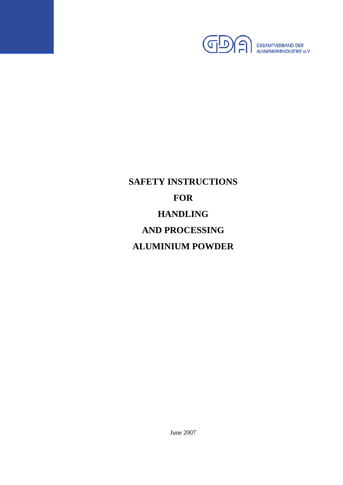

# **SAFETY INSTRUCTIONS FOR HANDLING AND PROCESSING ALUMINIUM POWDER**

June 2007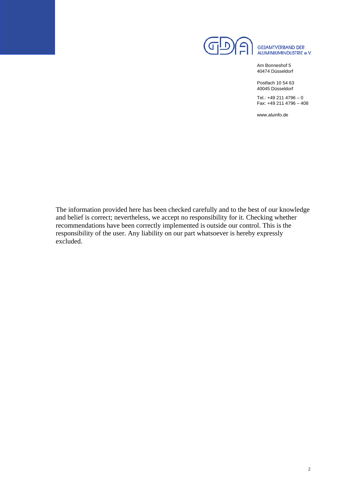

Am Bonneshof 5 40474 Düsseldorf

Postfach 10 54 63 40045 Düsseldorf

Tel.: +49 211 4796 – 0 Fax: +49 211 4796 – 408

www.aluinfo.de

The information provided here has been checked carefully and to the best of our knowledge and belief is correct; nevertheless, we accept no responsibility for it. Checking whether recommendations have been correctly implemented is outside our control. This is the responsibility of the user. Any liability on our part whatsoever is hereby expressly excluded.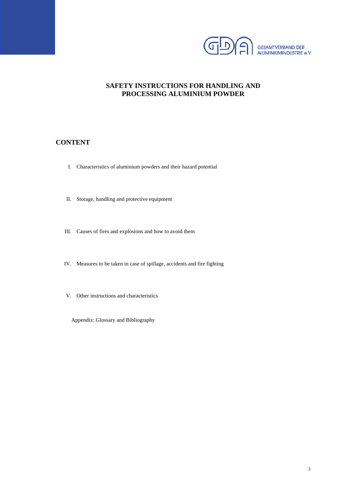

# **SAFETY INSTRUCTIONS FOR HANDLING AND PROCESSING ALUMINIUM POWDER**

## **CONTENT**

- I. Characteristics of aluminium powders and their hazard potential
- II. Storage, handling and protective equipment
- III. Causes of fires and explosions and how to avoid them
- IV. Measures to be taken in case of spillage, accidents and fire fighting
- V. Other instructions and characteristics

Appendix: Glossary and Bibliography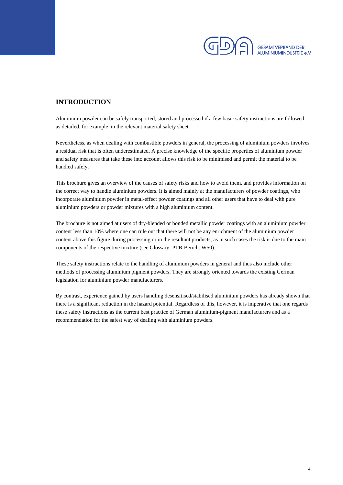

# **INTRODUCTION**

Aluminium powder can be safely transported, stored and processed if a few basic safety instructions are followed, as detailed, for example, in the relevant material safety sheet.

Nevertheless, as when dealing with combustible powders in general, the processing of aluminium powders involves a residual risk that is often underestimated. A precise knowledge of the specific properties of aluminium powder and safety measures that take these into account allows this risk to be minimised and permit the material to be handled safely.

This brochure gives an overview of the causes of safety risks and how to avoid them, and provides information on the correct way to handle aluminium powders. It is aimed mainly at the manufacturers of powder coatings, who incorporate aluminium powder in metal-effect powder coatings and all other users that have to deal with pure aluminium powders or powder mixtures with a high aluminium content.

The brochure is not aimed at users of dry-blended or bonded metallic powder coatings with an aluminium powder content less than 10% where one can rule out that there will not be any enrichment of the aluminium powder content above this figure during processing or in the resultant products, as in such cases the risk is due to the main components of the respective mixture (see Glossary: PTB-Bericht W50).

These safety instructions relate to the handling of aluminium powders in general and thus also include other methods of processing aluminium pigment powders. They are strongly oriented towards the existing German legislation for aluminium powder manufacturers.

By contrast, experience gained by users handling desensitised/stabilised aluminium powders has already shown that there is a significant reduction in the hazard potential. Regardless of this, however, it is imperative that one regards these safety instructions as the current best practice of German aluminium-pigment manufacturers and as a recommendation for the safest way of dealing with aluminium powders.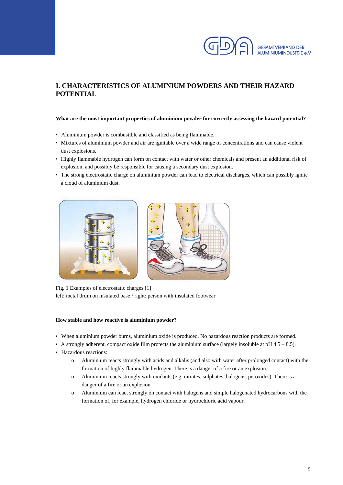

# **I. CHARACTERISTICS OF ALUMINIUM POWDERS AND THEIR HAZARD POTENTIAL**

#### **What are the most important properties of aluminium powder for correctly assessing the hazard potential?**

- Aluminium powder is combustible and classified as being flammable.
- Mixtures of aluminium powder and air are ignitable over a wide range of concentrations and can cause violent dust explosions.
- Highly flammable hydrogen can form on contact with water or other chemicals and present an additional risk of explosion, and possibly be responsible for causing a secondary dust explosion.
- The strong electrostatic charge on aluminium powder can lead to electrical discharges, which can possibly ignite a cloud of aluminium dust.



Fig. 1 Examples of electrostatic charges [1] left: metal drum on insulated base / right: person with insulated footwear

#### **How stable and how reactive is aluminium powder?**

- When aluminium powder burns, aluminium oxide is produced. No hazardous reaction products are formed.
- A strongly adherent, compact oxide film protects the aluminium surface (largely insoluble at  $pH$  4.5 8.5).
- Hazardous reactions:
	- o Aluminium reacts strongly with acids and alkalis (and also with water after prolonged contact) with the formation of highly flammable hydrogen. There is a danger of a fire or an explosion.
	- o Aluminium reacts strongly with oxidants (e.g. nitrates, sulphates, halogens, peroxides). There is a danger of a fire or an explosion
	- o Aluminium can react strongly on contact with halogens and simple halogenated hydrocarbons with the formation of, for example, hydrogen chloride or hydrochloric acid vapour.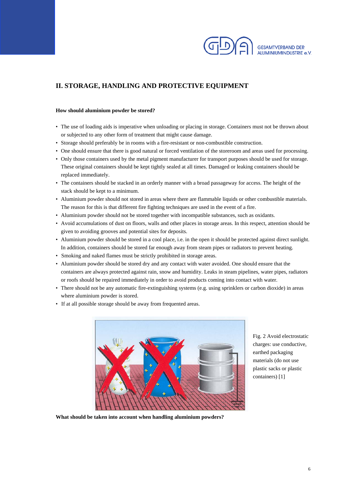

# **II. STORAGE, HANDLING AND PROTECTIVE EQUIPMENT**

#### **How should aluminium powder be stored?**

- The use of loading aids is imperative when unloading or placing in storage. Containers must not be thrown about or subjected to any other form of treatment that might cause damage.
- Storage should preferably be in rooms with a fire-resistant or non-combustible construction.
- One should ensure that there is good natural or forced ventilation of the storeroom and areas used for processing.
- Only those containers used by the metal pigment manufacturer for transport purposes should be used for storage. These original containers should be kept tightly sealed at all times. Damaged or leaking containers should be replaced immediately.
- The containers should be stacked in an orderly manner with a broad passageway for access. The height of the stack should be kept to a minimum.
- Aluminium powder should not stored in areas where there are flammable liquids or other combustible materials. The reason for this is that different fire fighting techniques are used in the event of a fire.
- Aluminium powder should not be stored together with incompatible substances, such as oxidants.
- Avoid accumulations of dust on floors, walls and other places in storage areas. In this respect, attention should be given to avoiding grooves and potential sites for deposits.
- Aluminium powder should be stored in a cool place, i.e. in the open it should be protected against direct sunlight. In addition, containers should be stored far enough away from steam pipes or radiators to prevent heating.
- Smoking and naked flames must be strictly prohibited in storage areas.
- Aluminium powder should be stored dry and any contact with water avoided. One should ensure that the containers are always protected against rain, snow and humidity. Leaks in steam pipelines, water pipes, radiators or roofs should be repaired immediately in order to avoid products coming into contact with water.
- There should not be any automatic fire-extinguishing systems (e.g. using sprinklers or carbon dioxide) in areas where aluminium powder is stored.
- If at all possible storage should be away from frequented areas.



Fig. 2 Avoid electrostatic charges: use conductive, earthed packaging materials (do not use plastic sacks or plastic containers) [1]

**What should be taken into account when handling aluminium powders?**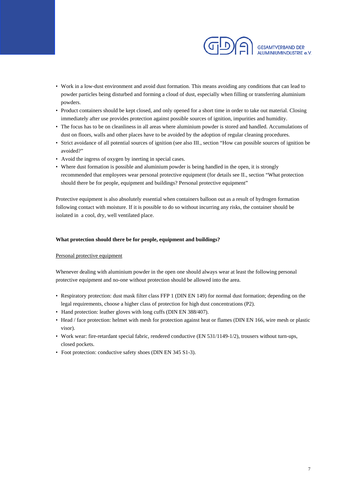

- Work in a low-dust environment and avoid dust formation. This means avoiding any conditions that can lead to powder particles being disturbed and forming a cloud of dust, especially when filling or transferring aluminium powders.
- Product containers should be kept closed, and only opened for a short time in order to take out material. Closing immediately after use provides protection against possible sources of ignition, impurities and humidity.
- The focus has to be on cleanliness in all areas where aluminium powder is stored and handled. Accumulations of dust on floors, walls and other places have to be avoided by the adoption of regular cleaning procedures.
- Strict avoidance of all potential sources of ignition (see also III., section "How can possible sources of ignition be avoided?"
- Avoid the ingress of oxygen by inerting in special cases.
- Where dust formation is possible and aluminium powder is being handled in the open, it is strongly recommended that employees wear personal protective equipment (for details see II., section "What protection should there be for people, equipment and buildings? Personal protective equipment"

Protective equipment is also absolutely essential when containers balloon out as a result of hydrogen formation following contact with moisture. If it is possible to do so without incurring any risks, the container should be isolated in a cool, dry, well ventilated place.

#### **What protection should there be for people, equipment and buildings?**

#### Personal protective equipment

Whenever dealing with aluminium powder in the open one should always wear at least the following personal protective equipment and no-one without protection should be allowed into the area.

- Respiratory protection: dust mask filter class FFP 1 (DIN EN 149) for normal dust formation; depending on the legal requirements, choose a higher class of protection for high dust concentrations (P2).
- Hand protection: leather gloves with long cuffs (DIN EN 388/407).
- Head / face protection: helmet with mesh for protection against heat or flames (DIN EN 166, wire mesh or plastic visor).
- Work wear: fire-retardant special fabric, rendered conductive (EN 531/1149-1/2), trousers without turn-ups, closed pockets.
- Foot protection: conductive safety shoes (DIN EN 345 S1-3).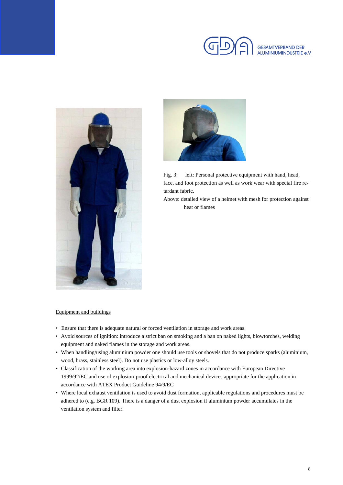





Fig. 3: left: Personal protective equipment with hand, head, face, and foot protection as well as work wear with special fire retardant fabric.

 Above: detailed view of a helmet with mesh for protection against heat or flames

#### Equipment and buildings

- Ensure that there is adequate natural or forced ventilation in storage and work areas.
- Avoid sources of ignition: introduce a strict ban on smoking and a ban on naked lights, blowtorches, welding equipment and naked flames in the storage and work areas.
- When handling/using aluminium powder one should use tools or shovels that do not produce sparks (aluminium, wood, brass, stainless steel). Do not use plastics or low-alloy steels.
- Classification of the working area into explosion-hazard zones in accordance with European Directive 1999/92/EC and use of explosion-proof electrical and mechanical devices appropriate for the application in accordance with ATEX Product Guideline 94/9/EC
- Where local exhaust ventilation is used to avoid dust formation, applicable regulations and procedures must be adhered to (e.g. BGR 109). There is a danger of a dust explosion if aluminium powder accumulates in the ventilation system and filter.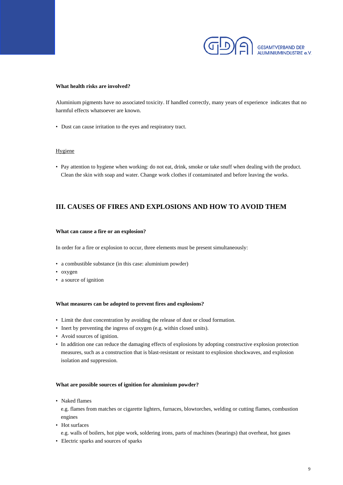

#### **What health risks are involved?**

Aluminium pigments have no associated toxicity. If handled correctly, many years of experience indicates that no harmful effects whatsoever are known.

• Dust can cause irritation to the eyes and respiratory tract.

#### Hygiene

• Pay attention to hygiene when working: do not eat, drink, smoke or take snuff when dealing with the product. Clean the skin with soap and water. Change work clothes if contaminated and before leaving the works.

## **III. CAUSES OF FIRES AND EXPLOSIONS AND HOW TO AVOID THEM**

#### **What can cause a fire or an explosion?**

In order for a fire or explosion to occur, three elements must be present simultaneously:

- a combustible substance (in this case: aluminium powder)
- oxygen
- a source of ignition

#### **What measures can be adopted to prevent fires and explosions?**

- Limit the dust concentration by avoiding the release of dust or cloud formation.
- Inert by preventing the ingress of oxygen (e.g. within closed units).
- Avoid sources of ignition.
- In addition one can reduce the damaging effects of explosions by adopting constructive explosion protection measures, such as a construction that is blast-resistant or resistant to explosion shockwaves, and explosion isolation and suppression.

#### **What are possible sources of ignition for aluminium powder?**

• Naked flames

e.g. flames from matches or cigarette lighters, furnaces, blowtorches, welding or cutting flames, combustion engines

• Hot surfaces

e.g. walls of boilers, hot pipe work, soldering irons, parts of machines (bearings) that overheat, hot gases

• Electric sparks and sources of sparks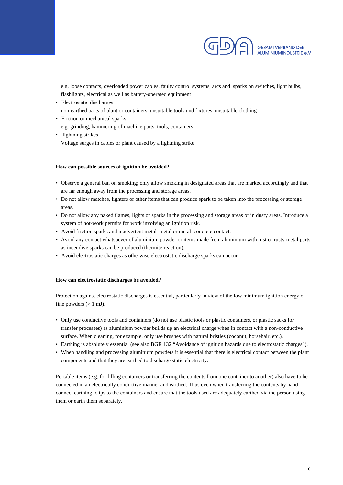

e.g. loose contacts, overloaded power cables, faulty control systems, arcs and sparks on switches, light bulbs, flashlights, electrical as well as battery-operated equipment

- Electrostatic discharges non-earthed parts of plant or containers, unsuitable tools und fixtures, unsuitable clothing
- Friction or mechanical sparks e.g. grinding, hammering of machine parts, tools, containers
- lightning strikes Voltage surges in cables or plant caused by a lightning strike

#### **How can possible sources of ignition be avoided?**

- Observe a general ban on smoking; only allow smoking in designated areas that are marked accordingly and that are far enough away from the processing and storage areas.
- Do not allow matches, lighters or other items that can produce spark to be taken into the processing or storage areas.
- Do not allow any naked flames, lights or sparks in the processing and storage areas or in dusty areas. Introduce a system of hot-work permits for work involving an ignition risk.
- Avoid friction sparks and inadvertent metal–metal or metal–concrete contact.
- Avoid any contact whatsoever of aluminium powder or items made from aluminium with rust or rusty metal parts as incendive sparks can be produced (thermite reaction).
- Avoid electrostatic charges as otherwise electrostatic discharge sparks can occur.

#### **How can electrostatic discharges be avoided?**

Protection against electrostatic discharges is essential, particularly in view of the low minimum ignition energy of fine powders  $(< 1$  mJ).

- Only use conductive tools and containers (do not use plastic tools or plastic containers, or plastic sacks for transfer processes) as aluminium powder builds up an electrical charge when in contact with a non-conductive surface. When cleaning, for example, only use brushes with natural bristles (coconut, horsehair, etc.).
- Earthing is absolutely essential (see also BGR 132 "Avoidance of ignition hazards due to electrostatic charges").
- When handling and processing aluminium powders it is essential that there is electrical contact between the plant components and that they are earthed to discharge static electricity.

Portable items (e.g. for filling containers or transferring the contents from one container to another) also have to be connected in an electrically conductive manner and earthed. Thus even when transferring the contents by hand connect earthing, clips to the containers and ensure that the tools used are adequately earthed via the person using them or earth them separately.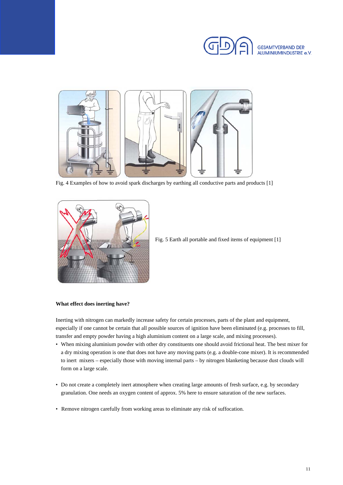



Fig. 4 Examples of how to avoid spark discharges by earthing all conductive parts and products [1]



Fig. 5 Earth all portable and fixed items of equipment [1]

#### **What effect does inerting have?**

Inerting with nitrogen can markedly increase safety for certain processes, parts of the plant and equipment, especially if one cannot be certain that all possible sources of ignition have been eliminated (e.g. processes to fill, transfer and empty powder having a high aluminium content on a large scale, and mixing processes).

- When mixing aluminium powder with other dry constituents one should avoid frictional heat. The best mixer for a dry mixing operation is one that does not have any moving parts (e.g. a double-cone mixer). It is recommended to inert mixers – especially those with moving internal parts – by nitrogen blanketing because dust clouds will form on a large scale.
- Do not create a completely inert atmosphere when creating large amounts of fresh surface, e.g. by secondary granulation. One needs an oxygen content of approx. 5% here to ensure saturation of the new surfaces.
- Remove nitrogen carefully from working areas to eliminate any risk of suffocation.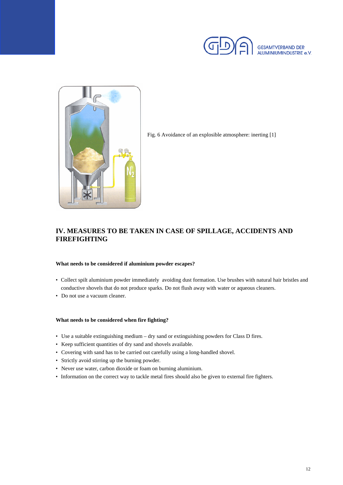



Fig. 6 Avoidance of an explosible atmosphere: inerting [1]

# **IV. MEASURES TO BE TAKEN IN CASE OF SPILLAGE, ACCIDENTS AND FIREFIGHTING**

#### **What needs to be considered if aluminium powder escapes?**

- Collect spilt aluminium powder immediately avoiding dust formation. Use brushes with natural hair bristles and conductive shovels that do not produce sparks. Do not flush away with water or aqueous cleaners.
- Do not use a vacuum cleaner.

#### **What needs to be considered when fire fighting?**

- Use a suitable extinguishing medium dry sand or extinguishing powders for Class D fires.
- Keep sufficient quantities of dry sand and shovels available.
- Covering with sand has to be carried out carefully using a long-handled shovel.
- Strictly avoid stirring up the burning powder.
- Never use water, carbon dioxide or foam on burning aluminium.
- Information on the correct way to tackle metal fires should also be given to external fire fighters.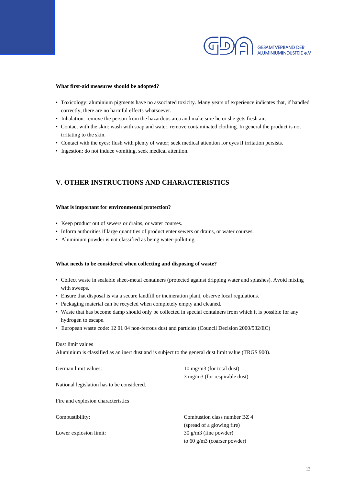

#### **What first-aid measures should be adopted?**

- Toxicology: aluminium pigments have no associated toxicity. Many years of experience indicates that, if handled correctly, there are no harmful effects whatsoever.
- Inhalation: remove the person from the hazardous area and make sure he or she gets fresh air.
- Contact with the skin: wash with soap and water, remove contaminated clothing. In general the product is not irritating to the skin.
- Contact with the eyes: flush with plenty of water; seek medical attention for eyes if irritation persists.
- Ingestion: do not induce vomiting, seek medical attention.

# **V. OTHER INSTRUCTIONS AND CHARACTERISTICS**

#### **What is important for environmental protection?**

- Keep product out of sewers or drains, or water courses.
- Inform authorities if large quantities of product enter sewers or drains, or water courses.
- Aluminium powder is not classified as being water-polluting.

#### **What needs to be considered when collecting and disposing of waste?**

- Collect waste in sealable sheet-metal containers (protected against dripping water and splashes). Avoid mixing with sweeps.
- Ensure that disposal is via a secure landfill or incineration plant, observe local regulations.
- Packaging material can be recycled when completely empty and cleaned.
- Waste that has become damp should only be collected in special containers from which it is possible for any hydrogen to escape.
- European waste code: 12 01 04 non-ferrous dust and particles (Council Decision 2000/532/EC)

#### Dust limit values

Aluminium is classified as an inert dust and is subject to the general dust limit value (TRGS 900).

| German limit values:                       | $10 \text{ mg/m}$ (for total dust)     |
|--------------------------------------------|----------------------------------------|
|                                            | $3 \text{ mg/m}$ (for respirable dust) |
| National legislation has to be considered. |                                        |
| Fire and explosion characteristics         |                                        |
|                                            |                                        |
| Combustibility:                            | Combustion class number BZ 4           |
|                                            | (spread of a glowing fire)             |
| Lower explosion limit:                     | $30 \text{ g/m}$ (fine powder)         |
|                                            | to 60 $g/m3$ (coarser powder)          |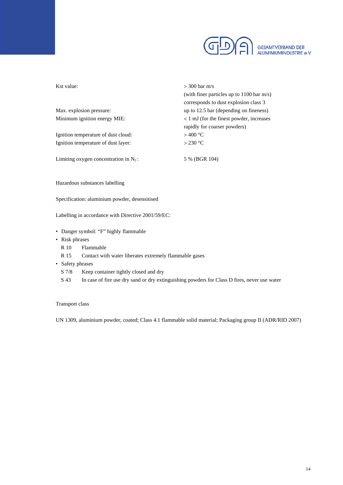

| Kst value:                               | $>$ 300 bar m/s                             |
|------------------------------------------|---------------------------------------------|
|                                          | (with finer particles up to $1100$ bar m/s) |
|                                          | corresponds to dust explosion class 3       |
| Max. explosion pressure:                 | up to 12.5 bar (depending on fineness)      |
| Minimum ignition energy MIE:             | < 1 mJ (for the finest powder, increases    |
|                                          | rapidly for coarser powders)                |
| Ignition temperature of dust cloud:      | $>$ 400 °C                                  |
| Ignition temperature of dust layer:      | $>$ 230 °C                                  |
| Limiting oxygen concentration in $N_2$ : | 5 % (BGR 104)                               |
| Hazardous substances labelling           |                                             |

Specification: aluminium powder, desensitised

Labelling in accordance with Directive 2001/59/EC:

- Danger symbol: "F" highly flammable
- Risk phrases
	- R 10 Flammable
	- R 15 Contact with water liberates extremely flammable gases
- Safety phrases
	- S 7/8 Keep container tightly closed and dry
	- S 43 In case of fire use dry sand or dry extinguishing powders for Class D fires, never use water

#### Transport class

UN 1309, aluminium powder, coated; Class 4.1 flammable solid material; Packaging group II (ADR/RID 2007)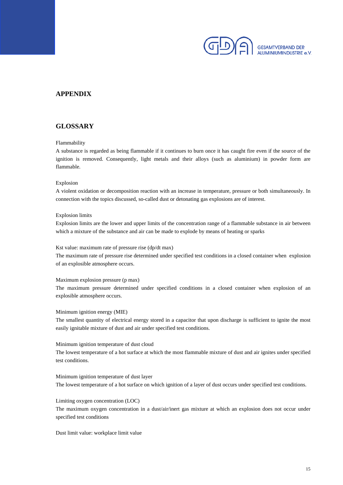

# **APPENDIX**

## **GLOSSARY**

#### Flammability

A substance is regarded as being flammable if it continues to burn once it has caught fire even if the source of the ignition is removed. Consequently, light metals and their alloys (such as aluminium) in powder form are flammable.

#### Explosion

A violent oxidation or decomposition reaction with an increase in temperature, pressure or both simultaneously. In connection with the topics discussed, so-called dust or detonating gas explosions are of interest.

#### Explosion limits

Explosion limits are the lower and upper limits of the concentration range of a flammable substance in air between which a mixture of the substance and air can be made to explode by means of heating or sparks

Kst value: maximum rate of pressure rise (dp/dt max)

The maximum rate of pressure rise determined under specified test conditions in a closed container when explosion of an explosible atmosphere occurs.

#### Maximum explosion pressure (p max)

The maximum pressure determined under specified conditions in a closed container when explosion of an explosible atmosphere occurs.

Minimum ignition energy (MIE)

The smallest quantity of electrical energy stored in a capacitor that upon discharge is sufficient to ignite the most easily ignitable mixture of dust and air under specified test conditions.

#### Minimum ignition temperature of dust cloud

The lowest temperature of a hot surface at which the most flammable mixture of dust and air ignites under specified test conditions.

#### Minimum ignition temperature of dust layer

The lowest temperature of a hot surface on which ignition of a layer of dust occurs under specified test conditions.

#### Limiting oxygen concentration (LOC)

The maximum oxygen concentration in a dust/air/inert gas mixture at which an explosion does not occur under specified test conditions

Dust limit value: workplace limit value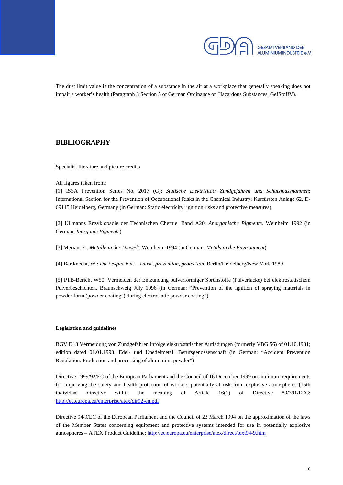

The dust limit value is the concentration of a substance in the air at a workplace that generally speaking does not impair a worker's health (Paragraph 3 Section 5 of German Ordinance on Hazardous Substances, GefStoffV).

## **BIBLIOGRAPHY**

Specialist literature and picture credits

All figures taken from:

[1] ISSA Prevention Series No. 2017 (G); *Statische Elektrizität: Zündgefahren und Schutzmassnahmen*; International Section for the Prevention of Occupational Risks in the Chemical Industry; Kurfürsten Anlage 62, D-69115 Heidelberg, Germany (in German: Static electricity: ignition risks and protective measures)

[2] Ullmanns Enzyklopädie der Technischen Chemie. Band A20: *Anorganische Pigmente*. Weinheim 1992 (in German: *Inorganic Pigments*)

[3] Merian, E.: *Metalle in der Umwelt*. Weinheim 1994 (in German: *Metals in the Environment*)

[4] Bartknecht, W.: *Dust explosions – cause, prevention, protection.* Berlin/Heidelberg/New York 1989

[5] PTB-Bericht W50: Vermeiden der Entzündung pulverförmiger Sprühstoffe (Pulverlacke) bei elektrostatischem Pulverbeschichten. Braunschweig July 1996 (in German: "Prevention of the ignition of spraying materials in powder form (powder coatings) during electrostatic powder coating")

#### **Legislation and guidelines**

BGV D13 Vermeidung von Zündgefahren infolge elektrostatischer Aufladungen (formerly VBG 56) of 01.10.1981; edition dated 01.01.1993. Edel- und Unedelmetall Berufsgenossenschaft (in German: "Accident Prevention Regulation: Production and processing of aluminium powder")

Directive 1999/92/EC of the European Parliament and the Council of 16 December 1999 on minimum requirements for improving the safety and health protection of workers potentially at risk from explosive atmospheres (15th individual directive within the meaning of Article 16(1) of Directive 89/391/EEC; http://ec.europa.eu/enterprise/atex/dir92-en.pdf

Directive 94/9/EC of the European Parliament and the Council of 23 March 1994 on the approximation of the laws of the Member States concerning equipment and protective systems intended for use in potentially explosive atmospheres – ATEX Product Guideline; http://ec.europa.eu/enterprise/atex/direct/text94-9.htm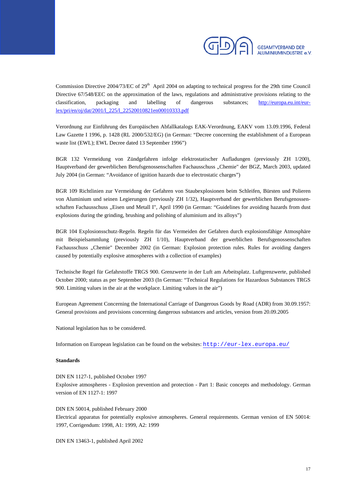

Commission Directive 2004/73/EC of  $29<sup>th</sup>$  April 2004 on adapting to technical progress for the 29th time Council Directive 67/548/EEC on the approximation of the laws, regulations and administrative provisions relating to the classification, packaging and labelling of dangerous substances; http://europa.eu.int/eurlex/pri/en/oj/dat/2001/l\_225/l\_22520010821en00010333.pdf

Verordnung zur Einführung des Europäischen Abfallkatalogs EAK-Verordnung, EAKV vom 13.09.1996, Federal Law Gazette I 1996, p. 1428 (RL 2000/532/EG) (in German: "Decree concerning the establishment of a European waste list (EWL); EWL Decree dated 13 September 1996")

BGR 132 Vermeidung von Zündgefahren infolge elektrostatischer Aufladungen (previously ZH 1/200), Hauptverband der gewerblichen Berufsgenossenschaften Fachausschuss "Chemie" der BGZ, March 2003, updated July 2004 (in German: "Avoidance of ignition hazards due to electrostatic charges")

BGR 109 Richtlinien zur Vermeidung der Gefahren von Staubexplosionen beim Schleifen, Bürsten und Polieren von Aluminium und seinen Legierungen (previously ZH 1/32), Hauptverband der gewerblichen Berufsgenossenschaften Fachausschuss "Eisen und Metall I", April 1990 (in German: "Guidelines for avoiding hazards from dust explosions during the grinding, brushing and polishing of aluminium and its alloys")

BGR 104 Explosionsschutz-Regeln. Regeln für das Vermeiden der Gefahren durch explosionsfähige Atmosphäre mit Beispielsammlung (previously ZH 1/10), Hauptverband der gewerblichen Berufsgenossenschaften Fachausschuss "Chemie" December 2002 (in German: Explosion protection rules. Rules for avoiding dangers caused by potentially explosive atmospheres with a collection of examples)

Technische Regel für Gefahrstoffe TRGS 900. Grenzwerte in der Luft am Arbeitsplatz. Luftgrenzwerte, published October 2000; status as per September 2003 (In German: "Technical Regulations for Hazardous Substances TRGS 900. Limiting values in the air at the workplace. Limiting values in the air")

European Agreement Concerning the International Carriage of Dangerous Goods by Road (ADR) from 30.09.1957: General provisions and provisions concerning dangerous substances and articles, version from 20.09.2005

National legislation has to be considered.

Information on European legislation can be found on the websites: http://eur-lex.europa.eu/

#### **Standards**

DIN EN 1127-1, published October 1997

Explosive atmospheres - Explosion prevention and protection - Part 1: Basic concepts and methodology. German version of EN 1127-1: 1997

DIN EN 50014, published February 2000 Electrical apparatus for potentially explosive atmospheres. General requirements. German version of EN 50014: 1997, Corrigendum: 1998, A1: 1999, A2: 1999

DIN EN 13463-1, published April 2002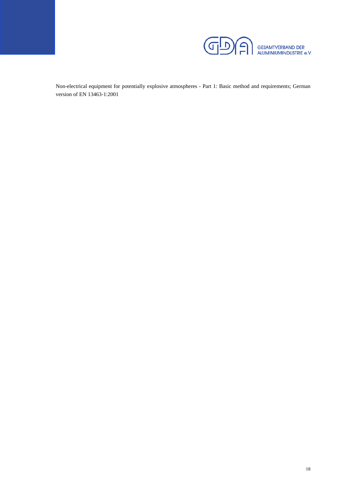

Non-electrical equipment for potentially explosive atmospheres - Part 1: Basic method and requirements; German version of EN 13463-1:2001